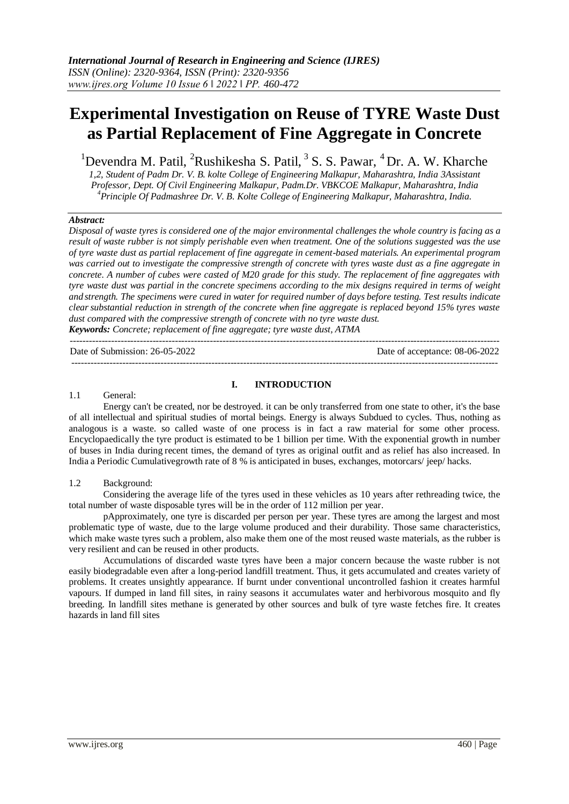# **Experimental Investigation on Reuse of TYRE Waste Dust as Partial Replacement of Fine Aggregate in Concrete**

 $1$ Devendra M. Patil,  $2$ Rushikesha S. Patil,  $3$  S. S. Pawar,  $4$  Dr. A. W. Kharche *1,2, Student of Padm Dr. V. B. kolte College of Engineering Malkapur, Maharashtra, India 3Assistant Professor, Dept. Of Civil Engineering Malkapur, Padm.Dr. VBKCOE Malkapur, Maharashtra, India <sup>4</sup>Principle Of Padmashree Dr. V. B. Kolte College of Engineering Malkapur, Maharashtra, India.*

### *Abstract:*

*Disposal of waste tyres is considered one of the major environmental challenges the whole country is facing as a result of waste rubber is not simply perishable even when treatment. One of the solutions suggested was the use of tyre waste dust as partial replacement of fine aggregate in cement-based materials. An experimental program was carried out to investigate the compressive strength of concrete with tyres waste dust as a fine aggregate in concrete. A number of cubes were casted of M20 grade for this study. The replacement of fine aggregates with* tyre waste dust was partial in the concrete specimens according to the mix designs required in terms of weight and strength. The specimens were cured in water for required number of days before testing. Test results indicate *clearsubstantial reduction in strength of the concrete when fine aggregate is replaced beyond 15% tyres waste dust compared with the compressive strength of concrete with no tyre waste dust.*

*Keywords: Concrete; replacement of fine aggregate; tyre waste dust, ATMA* ---------------------------------------------------------------------------------------------------------------------------------------

Date of Submission: 26-05-2022 Date of acceptance: 08-06-2022

# **I. INTRODUCTION**

--------------------------------------------------------------------------------------------------------------------------------------

Energy can't be created, nor be destroyed. it can be only transferred from one state to other, it's the base of all intellectual and spiritual studies of mortal beings. Energy is always Subdued to cycles. Thus, nothing as analogous is a waste. so called waste of one process is in fact a raw material for some other process. Encyclopaedically the tyre product is estimated to be 1 billion per time. With the exponential growth in number of buses in India during recent times, the demand of tyres as original outfit and as relief has also increased. In India a Periodic Cumulativegrowth rate of 8 % is anticipated in buses, exchanges, motorcars/ jeep/ hacks.

#### 1.2 Background:

1.1 General:

Considering the average life of the tyres used in these vehicles as 10 years after rethreading twice, the total number of waste disposable tyres will be in the order of 112 million per year.

pApproximately, one tyre is discarded per person per year. These tyres are among the largest and most problematic type of waste, due to the large volume produced and their durability. Those same characteristics, which make waste tyres such a problem, also make them one of the most reused waste materials, as the rubber is very resilient and can be reused in other products.

Accumulations of discarded waste tyres have been a major concern because the waste rubber is not easily biodegradable even after a long-period landfill treatment. Thus, it gets accumulated and creates variety of problems. It creates unsightly appearance. If burnt under conventional uncontrolled fashion it creates harmful vapours. If dumped in land fill sites, in rainy seasons it accumulates water and herbivorous mosquito and fly breeding. In landfill sites methane is generated by other sources and bulk of tyre waste fetches fire. It creates hazards in land fill sites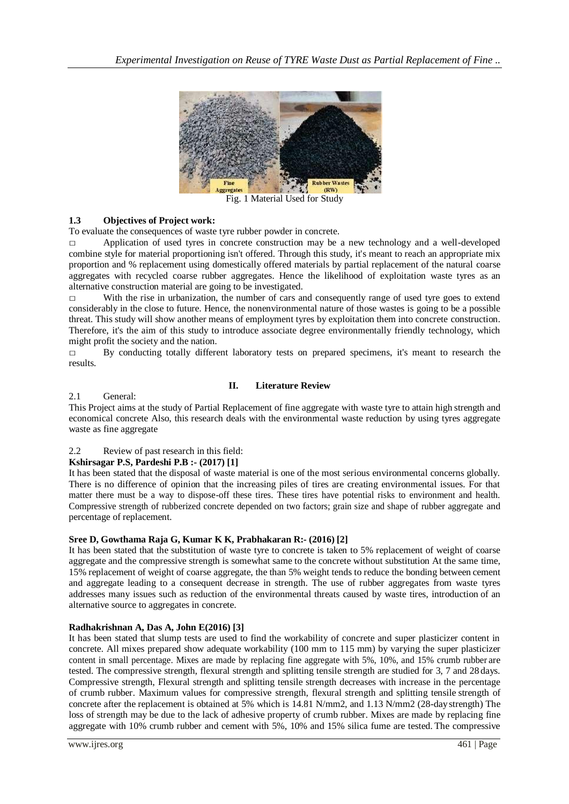

Fig. 1 Material Used for Study

# **1.3 Objectives of Project work:**

To evaluate the consequences of waste tyre rubber powder in concrete.

 $\Box$  Application of used tyres in concrete construction may be a new technology and a well-developed combine style for material proportioning isn't offered. Through this study, it's meant to reach an appropriate mix proportion and % replacement using domestically offered materials by partial replacement of the natural coarse aggregates with recycled coarse rubber aggregates. Hence the likelihood of exploitation waste tyres as an alternative construction material are going to be investigated.

 $\Box$  With the rise in urbanization, the number of cars and consequently range of used tyre goes to extend considerably in the close to future. Hence, the nonenvironmental nature of those wastes is going to be a possible threat. This study will show another means of employment tyres by exploitation them into concrete construction. Therefore, it's the aim of this study to introduce associate degree environmentally friendly technology, which might profit the society and the nation.

 $\Box$  By conducting totally different laboratory tests on prepared specimens, it's meant to research the results.

### **II. Literature Review**

### 2.1 General:

This Project aims at the study of Partial Replacement of fine aggregate with waste tyre to attain high strength and economical concrete Also, this research deals with the environmental waste reduction by using tyres aggregate waste as fine aggregate

# 2.2 Review of past research in this field:

# **Kshirsagar P.S, Pardeshi P.B :- (2017) [1]**

It has been stated that the disposal of waste material is one of the most serious environmental concerns globally. There is no difference of opinion that the increasing piles of tires are creating environmental issues. For that matter there must be a way to dispose-off these tires. These tires have potential risks to environment and health. Compressive strength of rubberized concrete depended on two factors; grain size and shape of rubber aggregate and percentage of replacement.

# **Sree D, Gowthama Raja G, Kumar K K, Prabhakaran R:- (2016) [2]**

It has been stated that the substitution of waste tyre to concrete is taken to 5% replacement of weight of coarse aggregate and the compressive strength is somewhat same to the concrete without substitution At the same time, 15% replacement of weight of coarse aggregate, the than 5% weight tends to reduce the bonding between cement and aggregate leading to a consequent decrease in strength. The use of rubber aggregates from waste tyres addresses many issues such as reduction of the environmental threats caused by waste tires, introduction of an alternative source to aggregates in concrete.

# **Radhakrishnan A, Das A, John E(2016) [3]**

It has been stated that slump tests are used to find the workability of concrete and super plasticizer content in concrete. All mixes prepared show adequate workability (100 mm to 115 mm) by varying the super plasticizer content in small percentage. Mixes are made by replacing fine aggregate with 5%, 10%, and 15% crumb rubber are tested. The compressive strength, flexural strength and splitting tensile strength are studied for 3, 7 and 28 days. Compressive strength, Flexural strength and splitting tensile strength decreases with increase in the percentage of crumb rubber. Maximum values for compressive strength, flexural strength and splitting tensile strength of concrete after the replacement is obtained at 5% which is 14.81 N/mm2, and 1.13 N/mm2 (28-daystrength) The loss of strength may be due to the lack of adhesive property of crumb rubber. Mixes are made by replacing fine aggregate with 10% crumb rubber and cement with 5%, 10% and 15% silica fume are tested. The compressive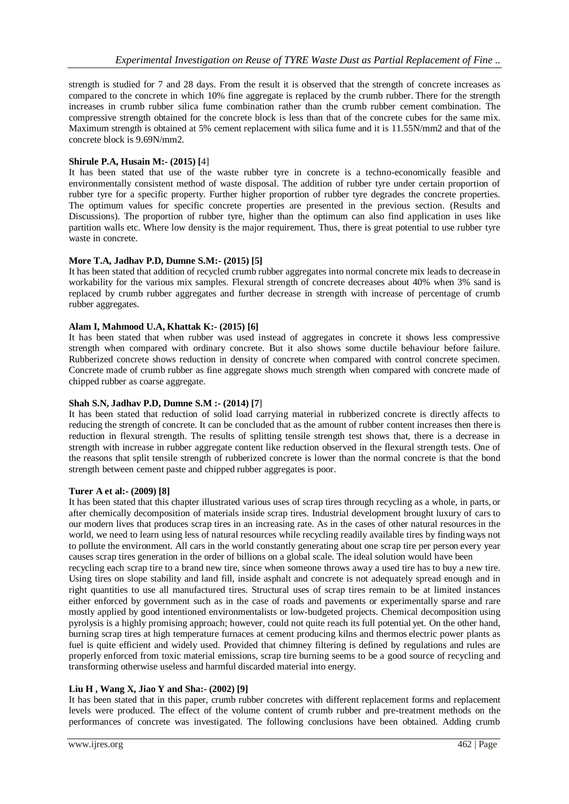strength is studied for 7 and 28 days. From the result it is observed that the strength of concrete increases as compared to the concrete in which 10% fine aggregate is replaced by the crumb rubber. There for the strength increases in crumb rubber silica fume combination rather than the crumb rubber cement combination. The compressive strength obtained for the concrete block is less than that of the concrete cubes for the same mix. Maximum strength is obtained at 5% cement replacement with silica fume and it is 11.55N/mm2 and that of the concrete block is 9.69N/mm2.

# **Shirule P.A, Husain M:- (2015) [**4]

It has been stated that use of the waste rubber tyre in concrete is a techno-economically feasible and environmentally consistent method of waste disposal. The addition of rubber tyre under certain proportion of rubber tyre for a specific property. Further higher proportion of rubber tyre degrades the concrete properties. The optimum values for specific concrete properties are presented in the previous section. (Results and Discussions). The proportion of rubber tyre, higher than the optimum can also find application in uses like partition walls etc. Where low density is the major requirement. Thus, there is great potential to use rubber tyre waste in concrete.

### **More T.A, Jadhav P.D, Dumne S.M:- (2015) [5]**

It has been stated that addition of recycled crumb rubber aggregates into normal concrete mix leads to decrease in workability for the various mix samples. Flexural strength of concrete decreases about 40% when 3% sand is replaced by crumb rubber aggregates and further decrease in strength with increase of percentage of crumb rubber aggregates.

### **Alam I, Mahmood U.A, Khattak K:- (2015) [6]**

It has been stated that when rubber was used instead of aggregates in concrete it shows less compressive strength when compared with ordinary concrete. But it also shows some ductile behaviour before failure. Rubberized concrete shows reduction in density of concrete when compared with control concrete specimen. Concrete made of crumb rubber as fine aggregate shows much strength when compared with concrete made of chipped rubber as coarse aggregate.

#### **Shah S.N, Jadhav P.D, Dumne S.M :- (2014) [7**]

It has been stated that reduction of solid load carrying material in rubberized concrete is directly affects to reducing the strength of concrete. It can be concluded that as the amount of rubber content increases then there is reduction in flexural strength. The results of splitting tensile strength test shows that, there is a decrease in strength with increase in rubber aggregate content like reduction observed in the flexural strength tests. One of the reasons that split tensile strength of rubberized concrete is lower than the normal concrete is that the bond strength between cement paste and chipped rubber aggregates is poor.

#### **Turer A et al:- (2009) [8]**

It has been stated that this chapter illustrated various uses of scrap tires through recycling as a whole, in parts, or after chemically decomposition of materials inside scrap tires. Industrial development brought luxury of cars to our modern lives that produces scrap tires in an increasing rate. As in the cases of other natural resources in the world, we need to learn using less of natural resources while recycling readily available tires by findingways not to pollute the environment. All cars in the world constantly generating about one scrap tire per person every year causes scrap tires generation in the order of billions on a global scale. The ideal solution would have been recycling each scrap tire to a brand new tire, since when someone throws away a used tire has to buy a new tire. Using tires on slope stability and land fill, inside asphalt and concrete is not adequately spread enough and in right quantities to use all manufactured tires. Structural uses of scrap tires remain to be at limited instances either enforced by government such as in the case of roads and pavements or experimentally sparse and rare mostly applied by good intentioned environmentalists or low-budgeted projects. Chemical decomposition using pyrolysis is a highly promising approach; however, could not quite reach its full potential yet. On the other hand, burning scrap tires at high temperature furnaces at cement producing kilns and thermos electric power plants as fuel is quite efficient and widely used. Provided that chimney filtering is defined by regulations and rules are properly enforced from toxic material emissions, scrap tire burning seems to be a good source of recycling and transforming otherwise useless and harmful discarded material into energy.

# **Liu H , Wang X, Jiao Y and Sha:- (2002) [9]**

It has been stated that in this paper, crumb rubber concretes with different replacement forms and replacement levels were produced. The effect of the volume content of crumb rubber and pre-treatment methods on the performances of concrete was investigated. The following conclusions have been obtained. Adding crumb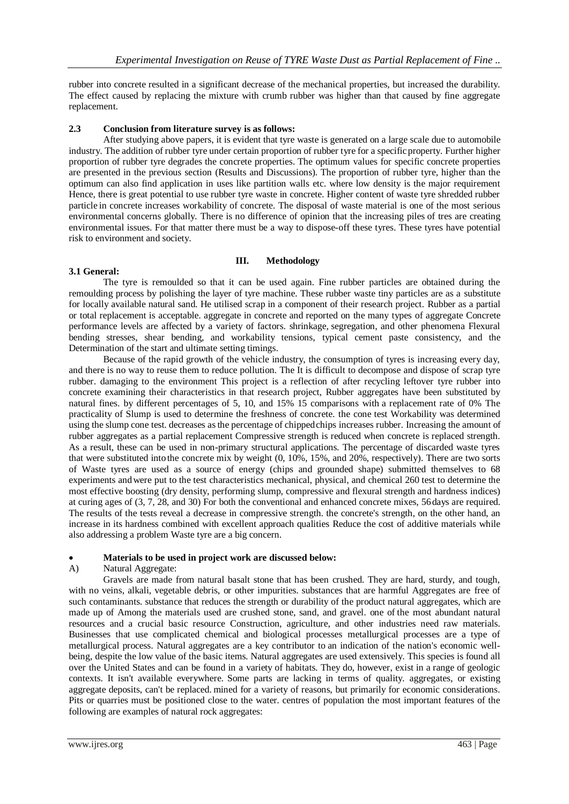rubber into concrete resulted in a significant decrease of the mechanical properties, but increased the durability. The effect caused by replacing the mixture with crumb rubber was higher than that caused by fine aggregate replacement.

# **2.3 Conclusion from literature survey is as follows:**

After studying above papers, it is evident that tyre waste is generated on a large scale due to automobile industry. The addition of rubber tyre under certain proportion of rubber tyre for a specificproperty. Further higher proportion of rubber tyre degrades the concrete properties. The optimum values for specific concrete properties are presented in the previous section (Results and Discussions). The proportion of rubber tyre, higher than the optimum can also find application in uses like partition walls etc. where low density is the major requirement Hence, there is great potential to use rubber tyre waste in concrete. Higher content of waste tyre shredded rubber particle in concrete increases workability of concrete. The disposal of waste material is one of the most serious environmental concerns globally. There is no difference of opinion that the increasing piles of tres are creating environmental issues. For that matter there must be a way to dispose-off these tyres. These tyres have potential risk to environment and society.

# **3.1 General:**

### **III. Methodology**

The tyre is remoulded so that it can be used again. Fine rubber particles are obtained during the remoulding process by polishing the layer of tyre machine. These rubber waste tiny particles are as a substitute for locally available natural sand. He utilised scrap in a component of their research project. Rubber as a partial or total replacement is acceptable. aggregate in concrete and reported on the many types of aggregate Concrete performance levels are affected by a variety of factors. shrinkage, segregation, and other phenomena Flexural bending stresses, shear bending, and workability tensions, typical cement paste consistency, and the Determination of the start and ultimate setting timings.

Because of the rapid growth of the vehicle industry, the consumption of tyres is increasing every day, and there is no way to reuse them to reduce pollution. The It is difficult to decompose and dispose of scrap tyre rubber. damaging to the environment This project is a reflection of after recycling leftover tyre rubber into concrete examining their characteristics in that research project, Rubber aggregates have been substituted by natural fines. by different percentages of 5, 10, and 15% 15 comparisons with a replacement rate of 0% The practicality of Slump is used to determine the freshness of concrete. the cone test Workability was determined using the slump cone test. decreases asthe percentage of chippedchips increases rubber. Increasing the amount of rubber aggregates as a partial replacement Compressive strength is reduced when concrete is replaced strength. As a result, these can be used in non-primary structural applications. The percentage of discarded waste tyres that were substituted into the concrete mix by weight (0, 10%, 15%, and 20%, respectively). There are two sorts of Waste tyres are used as a source of energy (chips and grounded shape) submitted themselves to 68 experiments andwere put to the test characteristics mechanical, physical, and chemical 260 test to determine the most effective boosting (dry density, performing slump, compressive and flexural strength and hardness indices) at curing ages of (3, 7, 28, and 30) For both the conventional and enhanced concrete mixes, 56days are required. The results of the tests reveal a decrease in compressive strength. the concrete's strength, on the other hand, an increase in its hardness combined with excellent approach qualities Reduce the cost of additive materials while also addressing a problem Waste tyre are a big concern.

#### **Materials to be used in project work are discussed below:**

A) Natural Aggregate:

Gravels are made from natural basalt stone that has been crushed. They are hard, sturdy, and tough, with no veins, alkali, vegetable debris, or other impurities. substances that are harmful Aggregates are free of such contaminants. substance that reduces the strength or durability of the product natural aggregates, which are made up of Among the materials used are crushed stone, sand, and gravel. one of the most abundant natural resources and a crucial basic resource Construction, agriculture, and other industries need raw materials. Businesses that use complicated chemical and biological processes metallurgical processes are a type of metallurgical process. Natural aggregates are a key contributor to an indication of the nation's economic wellbeing, despite the low value of the basic items. Natural aggregates are used extensively. This species is found all over the United States and can be found in a variety of habitats. They do, however, exist in a range of geologic contexts. It isn't available everywhere. Some parts are lacking in terms of quality. aggregates, or existing aggregate deposits, can't be replaced. mined for a variety of reasons, but primarily for economic considerations. Pits or quarries must be positioned close to the water. centres of population the most important features of the following are examples of natural rock aggregates: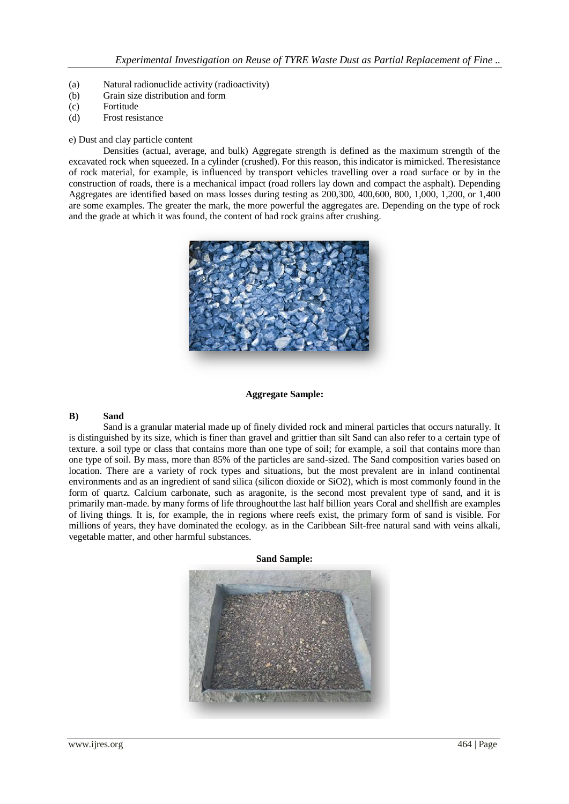- (a) Natural radionuclide activity (radioactivity)
- (b) Grain size distribution and form
- (c) Fortitude
- (d) Frost resistance

### e) Dust and clay particle content

Densities (actual, average, and bulk) Aggregate strength is defined as the maximum strength of the excavated rock when squeezed. In a cylinder (crushed). For this reason, this indicator is mimicked. Theresistance of rock material, for example, is influenced by transport vehicles travelling over a road surface or by in the construction of roads, there is a mechanical impact (road rollers lay down and compact the asphalt). Depending Aggregates are identified based on mass losses during testing as 200,300, 400,600, 800, 1,000, 1,200, or 1,400 are some examples. The greater the mark, the more powerful the aggregates are. Depending on the type of rock and the grade at which it was found, the content of bad rock grains after crushing.



#### **Aggregate Sample:**

### **B) Sand**

Sand is a granular material made up of finely divided rock and mineral particles that occurs naturally. It is distinguished by its size, which is finer than gravel and grittier than silt Sand can also refer to a certain type of texture. a soil type or class that contains more than one type of soil; for example, a soil that contains more than one type of soil. By mass, more than 85% of the particles are sand-sized. The Sand composition varies based on location. There are a variety of rock types and situations, but the most prevalent are in inland continental environments and as an ingredient of sand silica (silicon dioxide or SiO2), which is most commonly found in the form of quartz. Calcium carbonate, such as aragonite, is the second most prevalent type of sand, and it is primarily man-made. by many forms of life throughoutthe last half billion years Coral and shellfish are examples of living things. It is, for example, the in regions where reefs exist, the primary form of sand is visible. For millions of years, they have dominated the ecology. as in the Caribbean Silt-free natural sand with veins alkali, vegetable matter, and other harmful substances.

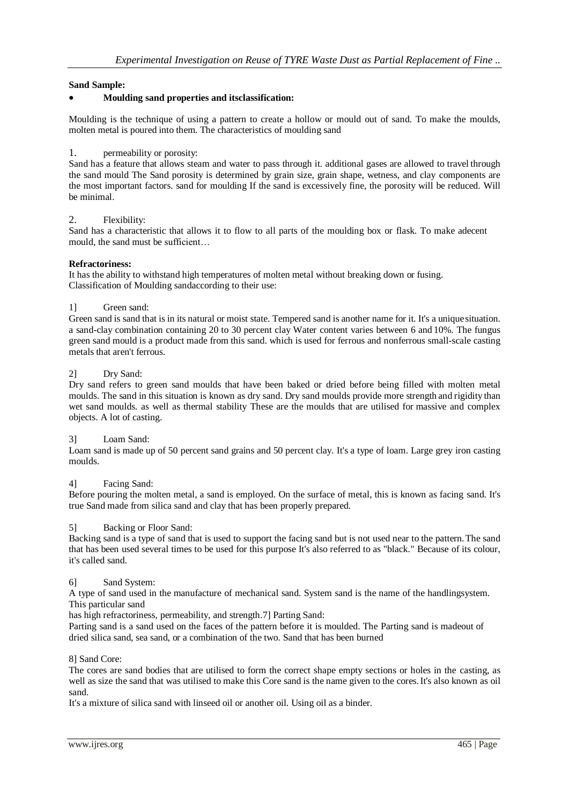#### **Sand Sample:**

# **Moulding sand properties and itsclassification:**

Moulding is the technique of using a pattern to create a hollow or mould out of sand. To make the moulds, molten metal is poured into them. The characteristics of moulding sand

#### 1. permeability or porosity:

Sand has a feature that allows steam and water to pass through it. additional gases are allowed to travel through the sand mould The Sand porosity is determined by grain size, grain shape, wetness, and clay components are the most important factors. sand for moulding If the sand is excessively fine, the porosity will be reduced. Will be minimal.

### 2. Flexibility:

Sand has a characteristic that allows it to flow to all parts of the moulding box or flask. To make adecent mould, the sand must be sufficient…

#### **Refractoriness:**

It has the ability to withstand high temperatures of molten metal without breaking down or fusing. Classification of Moulding sandaccording to their use:

#### 1] Green sand:

Green sand is sand that is in its natural or moist state. Tempered sand is another name for it. It's a unique situation. a sand-clay combination containing 20 to 30 percent clay Water content varies between 6 and 10%. The fungus green sand mould is a product made from this sand. which is used for ferrous and nonferrous small-scale casting metals that aren't ferrous.

### 2] Dry Sand:

Dry sand refers to green sand moulds that have been baked or dried before being filled with molten metal moulds. The sand in this situation is known as dry sand. Dry sand moulds provide more strength and rigidity than wet sand moulds. as well as thermal stability These are the moulds that are utilised for massive and complex objects. A lot of casting.

#### 3] Loam Sand:

Loam sand is made up of 50 percent sand grains and 50 percent clay. It's a type of loam. Large grey iron casting moulds.

#### 4] Facing Sand:

Before pouring the molten metal, a sand is employed. On the surface of metal, this is known as facing sand. It's true Sand made from silica sand and clay that has been properly prepared.

#### 5] Backing or Floor Sand:

Backing sand is a type of sand that is used to support the facing sand but is not used near to the pattern.The sand that has been used several times to be used for this purpose It's also referred to as "black." Because of its colour, it's called sand.

#### 6] Sand System:

A type of sand used in the manufacture of mechanical sand. System sand is the name of the handlingsystem. This particular sand

has high refractoriness, permeability, and strength.7] Parting Sand:

Parting sand is a sand used on the faces of the pattern before it is moulded. The Parting sand is madeout of dried silica sand, sea sand, or a combination of the two. Sand that has been burned

#### 8] Sand Core:

The cores are sand bodies that are utilised to form the correct shape empty sections or holes in the casting, as well as size the sand that was utilised to make this Core sand is the name given to the cores.It's also known as oil sand.

It's a mixture of silica sand with linseed oil or another oil. Using oil as a binder.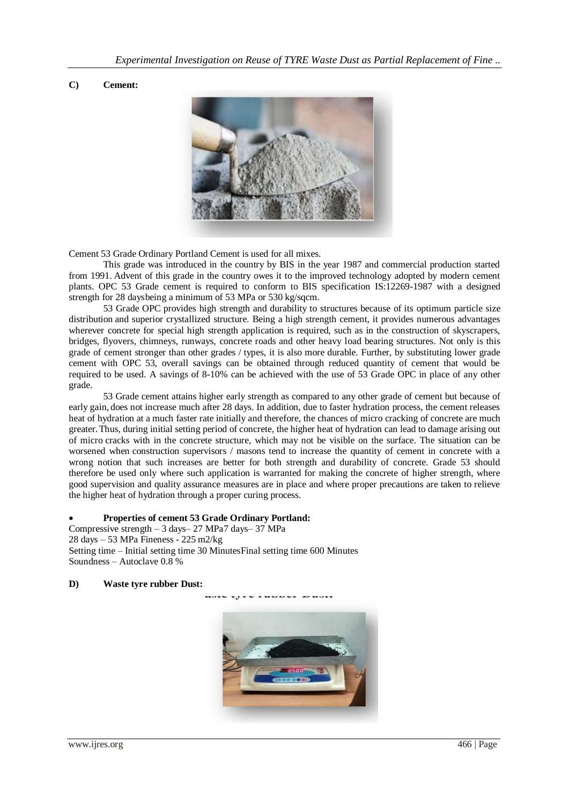#### **C) Cement:**



Cement 53 Grade Ordinary Portland Cement is used for all mixes.

This grade was introduced in the country by BIS in the year 1987 and commercial production started from 1991. Advent of this grade in the country owes it to the improved technology adopted by modern cement plants. OPC 53 Grade cement is required to conform to BIS specification IS:12269-1987 with a designed strength for 28 daysbeing a minimum of 53 MPa or 530 kg/sqcm.

53 Grade OPC provides high strength and durability to structures because of its optimum particle size distribution and superior crystallized structure. Being a high strength cement, it provides numerous advantages wherever concrete for special high strength application is required, such as in the construction of skyscrapers, bridges, flyovers, chimneys, runways, concrete roads and other heavy load bearing structures. Not only is this grade of cement stronger than other grades / types, it is also more durable. Further, by substituting lower grade cement with OPC 53, overall savings can be obtained through reduced quantity of cement that would be required to be used. A savings of 8-10% can be achieved with the use of 53 Grade OPC in place of any other grade.

53 Grade cement attains higher early strength as compared to any other grade of cement but because of early gain, does not increase much after 28 days. In addition, due to faster hydration process, the cement releases heat of hydration at a much faster rate initially and therefore, the chances of micro cracking of concrete are much greater.Thus, during initial setting period of concrete, the higher heat of hydration can lead to damage arising out of micro cracks with in the concrete structure, which may not be visible on the surface. The situation can be worsened when construction supervisors / masons tend to increase the quantity of cement in concrete with a wrong notion that such increases are better for both strength and durability of concrete. Grade 53 should therefore be used only where such application is warranted for making the concrete of higher strength, where good supervision and quality assurance measures are in place and where proper precautions are taken to relieve the higher heat of hydration through a proper curing process.

# **Properties of cement 53 Grade Ordinary Portland:**

Compressive strength – 3 days– 27 MPa7 days– 37 MPa 28 days – 53 MPa Fineness - 225 m2/kg Setting time – Initial setting time 30 MinutesFinal setting time 600 Minutes Soundness – Autoclave 0.8 %

#### **D) Waste tyre rubber Dust:**



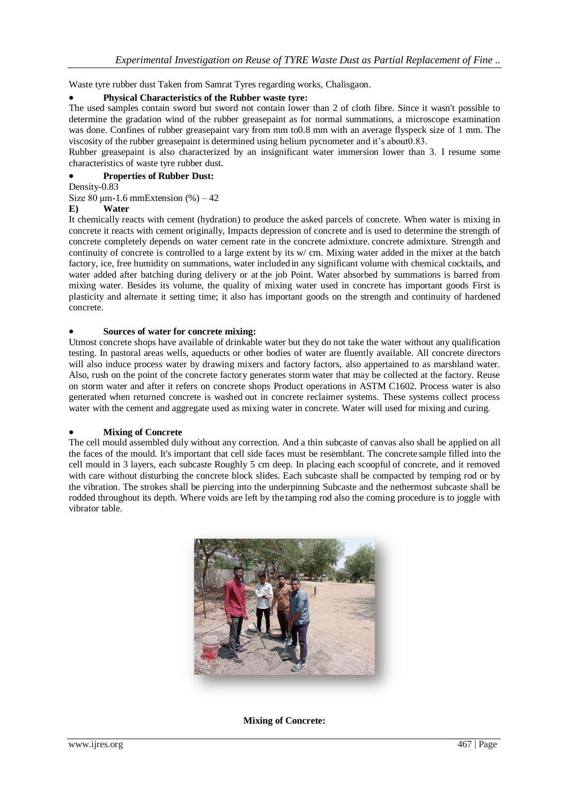Waste tyre rubber dust Taken from Samrat Tyres regarding works, Chalisgaon.

# **Physical Characteristics of the Rubber waste tyre:**

The used samples contain sword but sword not contain lower than 2 of cloth fibre. Since it wasn't possible to determine the gradation wind of the rubber greasepaint as for normal summations, a microscope examination was done. Confines of rubber greasepaint vary from mm to0.8 mm with an average flyspeck size of 1 mm. The viscosity of the rubber greasepaint is determined using helium pycnometer and it's about0.83.

Rubber greasepaint is also characterized by an insignificant water immersion lower than 3. I resume some characteristics of waste tyre rubber dust.

### **Properties of Rubber Dust:**

Density-0.83

Size 80  $\mu$ m-1.6 mmExtension (%) – 42

#### **E) Water**

It chemically reacts with cement (hydration) to produce the asked parcels of concrete. When water is mixing in concrete it reacts with cement originally, Impacts depression of concrete and is used to determine the strength of concrete completely depends on water cement rate in the concrete admixture. concrete admixture. Strength and continuity of concrete is controlled to a large extent by its w/ cm. Mixing water added in the mixer at the batch factory, ice, free humidity on summations, water includedin any significant volume with chemical cocktails, and water added after batching during delivery or at the job Point. Water absorbed by summations is barred from mixing water. Besides its volume, the quality of mixing water used in concrete has important goods First is plasticity and alternate it setting time; it also has important goods on the strength and continuity of hardened concrete.

#### **Sources of water for concrete mixing:**

Utmost concrete shops have available of drinkable water but they do not take the water without any qualification testing. In pastoral areas wells, aqueducts or other bodies of water are fluently available. All concrete directors will also induce process water by drawing mixers and factory factors, also appertained to as marshland water. Also, rush on the point of the concrete factory generates storm water that may be collected at the factory. Reuse on storm water and after it refers on concrete shops Product operations in ASTM C1602. Process water is also generated when returned concrete is washed out in concrete reclaimer systems. These systems collect process water with the cement and aggregate used as mixing water in concrete. Water will used for mixing and curing.

#### **Mixing of Concrete**

The cell mould assembled duly without any correction. And a thin subcaste of canvas also shall be applied on all the faces of the mould. It's important that cell side faces must be resemblant. The concrete sample filled into the cell mould in 3 layers, each subcaste Roughly 5 cm deep. In placing each scoopful of concrete, and it removed with care without disturbing the concrete block slides. Each subcaste shall be compacted by temping rod or by the vibration. The strokes shall be piercing into the underpinning Subcaste and the nethermost subcaste shall be rodded throughout its depth. Where voids are left by the tamping rod also the coming procedure is to joggle with vibrator table.



**Mixing of Concrete:**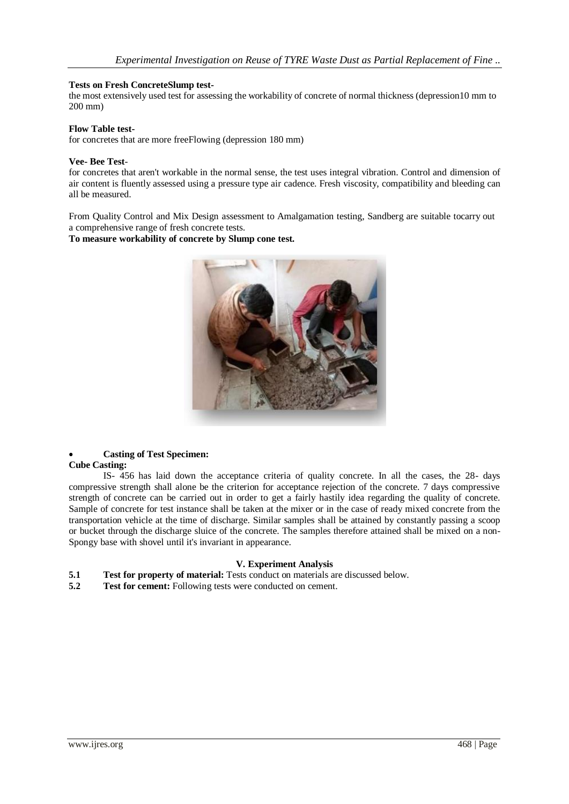#### **Tests on Fresh ConcreteSlump test-**

the most extensively used test for assessing the workability of concrete of normal thickness (depression10 mm to 200 mm)

#### **Flow Table test-**

for concretes that are more freeFlowing (depression 180 mm)

#### **Vee- Bee Test**-

for concretes that aren't workable in the normal sense, the test uses integral vibration. Control and dimension of air content is fluently assessed using a pressure type air cadence. Fresh viscosity, compatibility and bleeding can all be measured.

From Quality Control and Mix Design assessment to Amalgamation testing, Sandberg are suitable tocarry out a comprehensive range of fresh concrete tests.

**To measure workability of concrete by Slump cone test.**



# **Casting of Test Specimen:**

#### **Cube Casting:**

IS- 456 has laid down the acceptance criteria of quality concrete. In all the cases, the 28- days compressive strength shall alone be the criterion for acceptance rejection of the concrete. 7 days compressive strength of concrete can be carried out in order to get a fairly hastily idea regarding the quality of concrete. Sample of concrete for test instance shall be taken at the mixer or in the case of ready mixed concrete from the transportation vehicle at the time of discharge. Similar samples shall be attained by constantly passing a scoop or bucket through the discharge sluice of the concrete. The samples therefore attained shall be mixed on a non-Spongy base with shovel until it's invariant in appearance.

#### **V. Experiment Analysis**

- **5.1 Test for property of material:** Tests conduct on materials are discussed below.
- **5.2 Test for cement:** Following tests were conducted on cement.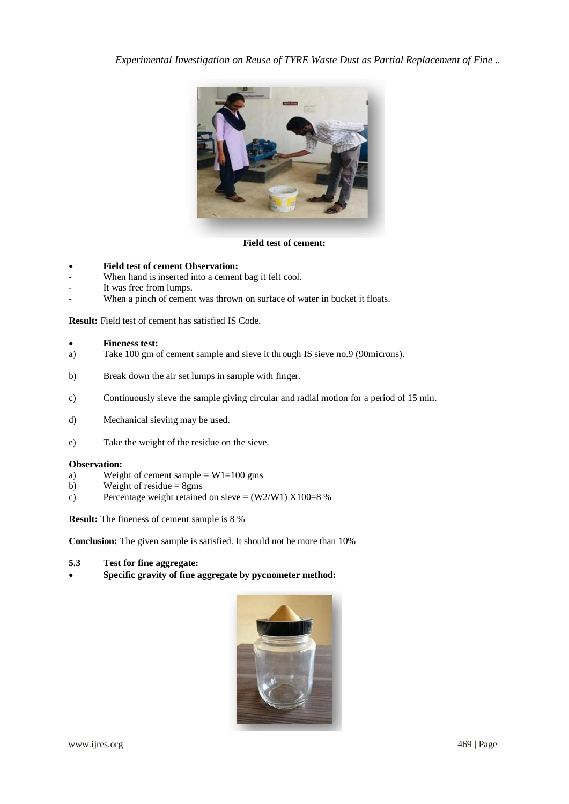

**Field test of cement:**

### **Field test of cement Observation:**

- When hand is inserted into a cement bag it felt cool.
- It was free from lumps.
- When a pinch of cement was thrown on surface of water in bucket it floats.

**Result:** Field test of cement has satisfied IS Code.

#### **Fineness test:**

- a) Take 100 gm of cement sample and sieve it through IS sieve no.9 (90microns).
- b) Break down the air set lumps in sample with finger.
- c) Continuously sieve the sample giving circular and radial motion for a period of 15 min.
- d) Mechanical sieving may be used.
- e) Take the weight of the residue on the sieve.

#### **Observation:**

- a) Weight of cement sample  $= W1=100$  gms
- b) Weight of residue  $= 8 \text{gms}$
- c) Percentage weight retained on sieve = (W2/W1) X100=8 %

**Result:** The fineness of cement sample is 8 %

**Conclusion:** The given sample is satisfied. It should not be more than 10%

#### **5.3 Test for fine aggregate:**

**Specific gravity of fine aggregate by pycnometer method:**

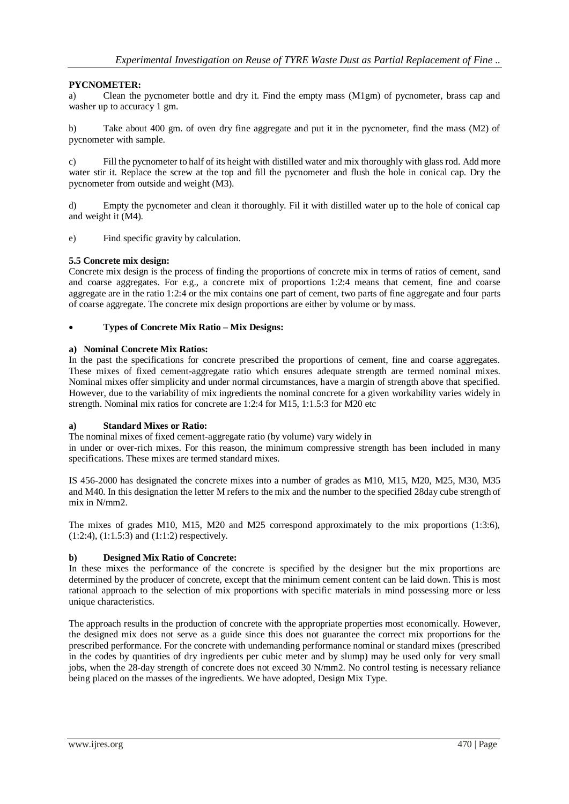# **PYCNOMETER:**

a) Clean the pycnometer bottle and dry it. Find the empty mass (M1gm) of pycnometer, brass cap and washer up to accuracy 1 gm.

b) Take about 400 gm. of oven dry fine aggregate and put it in the pycnometer, find the mass (M2) of pycnometer with sample.

c) Fill the pycnometer to half of its height with distilled water and mix thoroughly with glass rod. Add more water stir it. Replace the screw at the top and fill the pycnometer and flush the hole in conical cap. Dry the pycnometer from outside and weight (M3).

d) Empty the pycnometer and clean it thoroughly. Fil it with distilled water up to the hole of conical cap and weight it (M4).

e) Find specific gravity by calculation.

# **5.5 Concrete mix design:**

Concrete mix design is the process of finding the proportions of concrete mix in terms of ratios of cement, sand and coarse aggregates. For e.g., a concrete mix of proportions 1:2:4 means that cement, fine and coarse aggregate are in the ratio 1:2:4 or the mix contains one part of cement, two parts of fine aggregate and four parts of coarse aggregate. The concrete mix design proportions are either by volume or by mass.

### **Types of Concrete Mix Ratio – Mix Designs:**

#### **a) Nominal Concrete Mix Ratios:**

In the past the specifications for concrete prescribed the proportions of cement, fine and coarse aggregates. These mixes of fixed cement-aggregate ratio which ensures adequate strength are termed nominal mixes. Nominal mixes offer simplicity and under normal circumstances, have a margin of strength above that specified. However, due to the variability of mix ingredients the nominal concrete for a given workability varies widely in strength. Nominal mix ratios for concrete are 1:2:4 for M15, 1:1.5:3 for M20 etc

#### **a) Standard Mixes or Ratio:**

The nominal mixes of fixed cement-aggregate ratio (by volume) vary widely in

in under or over-rich mixes. For this reason, the minimum compressive strength has been included in many specifications. These mixes are termed standard mixes.

IS 456-2000 has designated the concrete mixes into a number of grades as M10, M15, M20, M25, M30, M35 and M40. In this designation the letter M refers to the mix and the number to the specified 28day cube strength of mix in N/mm2.

The mixes of grades M10, M15, M20 and M25 correspond approximately to the mix proportions (1:3:6), (1:2:4), (1:1.5:3) and (1:1:2) respectively.

#### **b) Designed Mix Ratio of Concrete:**

In these mixes the performance of the concrete is specified by the designer but the mix proportions are determined by the producer of concrete, except that the minimum cement content can be laid down. This is most rational approach to the selection of mix proportions with specific materials in mind possessing more or less unique characteristics.

The approach results in the production of concrete with the appropriate properties most economically. However, the designed mix does not serve as a guide since this does not guarantee the correct mix proportions for the prescribed performance. For the concrete with undemanding performance nominal or standard mixes (prescribed in the codes by quantities of dry ingredients per cubic meter and by slump) may be used only for very small jobs, when the 28-day strength of concrete does not exceed 30 N/mm2. No control testing is necessary reliance being placed on the masses of the ingredients. We have adopted, Design Mix Type.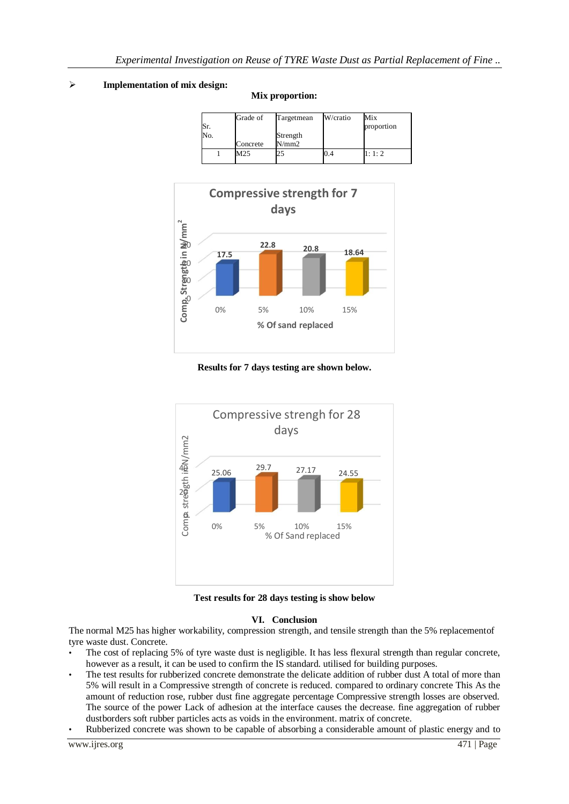# **Implementation of mix design:**

# **Mix proportion:**

| Sr. | Grade of | Targetmean        | W/cratio | Mix<br>proportion |
|-----|----------|-------------------|----------|-------------------|
| No. | Concrete | Strength<br>N/mm2 |          |                   |
|     | M25      | 25                | 0.4      | 1:1:2             |



**Results for 7 days testing are shown below.**



**Test results for 28 days testing is show below**

#### **VI. Conclusion**

The normal M25 has higher workability, compression strength, and tensile strength than the 5% replacementof tyre waste dust. Concrete.

- The cost of replacing 5% of tyre waste dust is negligible. It has less flexural strength than regular concrete, however as a result, it can be used to confirm the IS standard. utilised for building purposes.
- The test results for rubberized concrete demonstrate the delicate addition of rubber dust A total of more than 5% will result in a Compressive strength of concrete is reduced. compared to ordinary concrete This As the amount of reduction rose, rubber dust fine aggregate percentage Compressive strength losses are observed. The source of the power Lack of adhesion at the interface causes the decrease. fine aggregation of rubber dustborders soft rubber particles acts as voids in the environment. matrix of concrete.
- Rubberized concrete was shown to be capable of absorbing a considerable amount of plastic energy and to